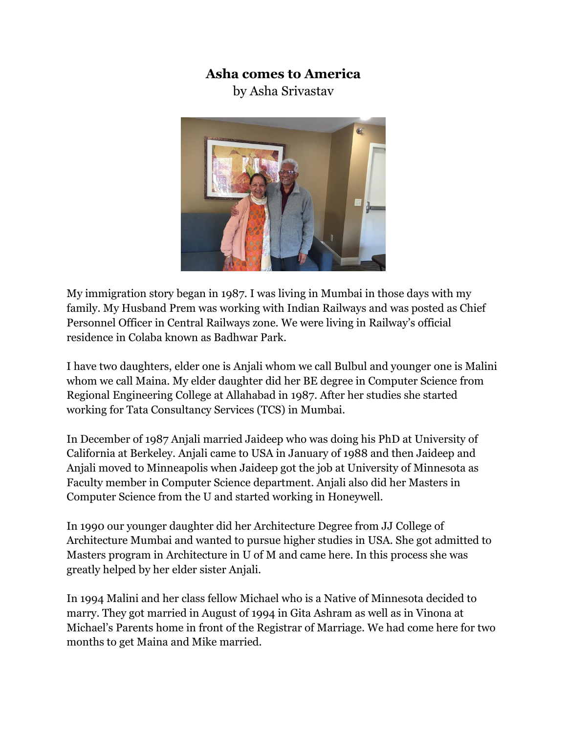## **Asha comes to America**

by Asha Srivastav



My immigration story began in 1987. I was living in Mumbai in those days with my family. My Husband Prem was working with Indian Railways and was posted as Chief Personnel Officer in Central Railways zone. We were living in Railway's official residence in Colaba known as Badhwar Park.

I have two daughters, elder one is Anjali whom we call Bulbul and younger one is Malini whom we call Maina. My elder daughter did her BE degree in Computer Science from Regional Engineering College at Allahabad in 1987. After her studies she started working for Tata Consultancy Services (TCS) in Mumbai.

In December of 1987 Anjali married Jaideep who was doing his PhD at University of California at Berkeley. Anjali came to USA in January of 1988 and then Jaideep and Anjali moved to Minneapolis when Jaideep got the job at University of Minnesota as Faculty member in Computer Science department. Anjali also did her Masters in Computer Science from the U and started working in Honeywell.

In 1990 our younger daughter did her Architecture Degree from JJ College of Architecture Mumbai and wanted to pursue higher studies in USA. She got admitted to Masters program in Architecture in U of M and came here. In this process she was greatly helped by her elder sister Anjali.

In 1994 Malini and her class fellow Michael who is a Native of Minnesota decided to marry. They got married in August of 1994 in Gita Ashram as well as in Vinona at Michael's Parents home in front of the Registrar of Marriage. We had come here for two months to get Maina and Mike married.